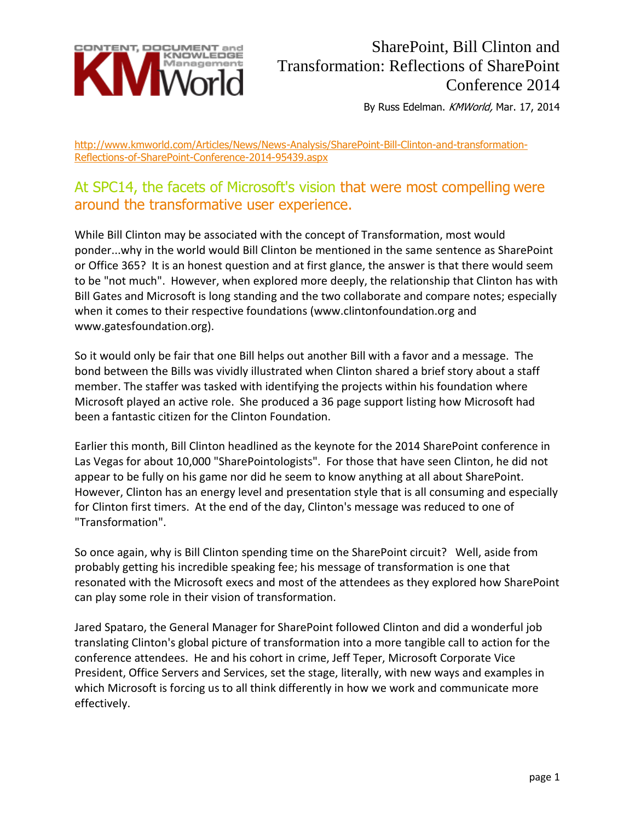

## SharePoint, Bill Clinton and Transformation: Reflections of SharePoint Conference 2014

By Russ Edelman. KMWorld, Mar. 17, 2014

http://www.kmworld.com/Articles/News/News-Analysis/SharePoint-Bill-Clinton-and-transformation-Reflections-of-SharePoint-Conference-2014-95439.aspx

## At SPC14, the facets of Microsoft's vision that were most compelling were around the transformative user experience.

While Bill Clinton may be associated with the concept of Transformation, most would ponder...why in the world would Bill Clinton be mentioned in the same sentence as SharePoint or Office 365? It is an honest question and at first glance, the answer is that there would seem to be "not much". However, when explored more deeply, the relationship that Clinton has with Bill Gates and Microsoft is long standing and the two collaborate and compare notes; especially when it comes to their respective foundations (www.clintonfoundation.org and www.gatesfoundation.org).

So it would only be fair that one Bill helps out another Bill with a favor and a message. The bond between the Bills was vividly illustrated when Clinton shared a brief story about a staff member. The staffer was tasked with identifying the projects within his foundation where Microsoft played an active role. She produced a 36 page support listing how Microsoft had been a fantastic citizen for the Clinton Foundation.

Earlier this month, Bill Clinton headlined as the keynote for the 2014 SharePoint conference in Las Vegas for about 10,000 "SharePointologists". For those that have seen Clinton, he did not appear to be fully on his game nor did he seem to know anything at all about SharePoint. However, Clinton has an energy level and presentation style that is all consuming and especially for Clinton first timers. At the end of the day, Clinton's message was reduced to one of "Transformation".

So once again, why is Bill Clinton spending time on the SharePoint circuit? Well, aside from probably getting his incredible speaking fee; his message of transformation is one that resonated with the Microsoft execs and most of the attendees as they explored how SharePoint can play some role in their vision of transformation.

Jared Spataro, the General Manager for SharePoint followed Clinton and did a wonderful job translating Clinton's global picture of transformation into a more tangible call to action for the conference attendees. He and his cohort in crime, Jeff Teper, Microsoft Corporate Vice President, Office Servers and Services, set the stage, literally, with new ways and examples in which Microsoft is forcing us to all think differently in how we work and communicate more effectively.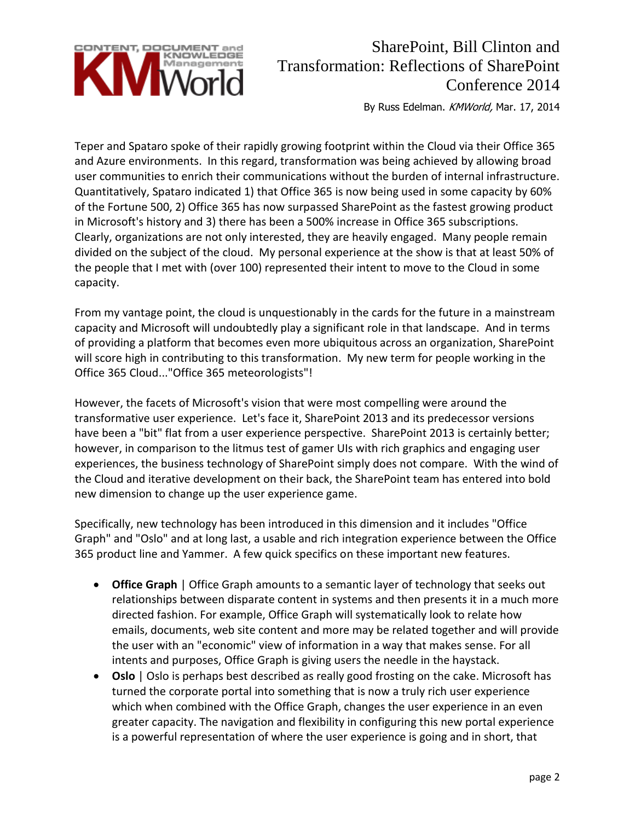

## SharePoint, Bill Clinton and Transformation: Reflections of SharePoint Conference 2014

By Russ Edelman. KMWorld, Mar. 17, 2014

Teper and Spataro spoke of their rapidly growing footprint within the Cloud via their Office 365 and Azure environments. In this regard, transformation was being achieved by allowing broad user communities to enrich their communications without the burden of internal infrastructure. Quantitatively, Spataro indicated 1) that Office 365 is now being used in some capacity by 60% of the Fortune 500, 2) Office 365 has now surpassed SharePoint as the fastest growing product in Microsoft's history and 3) there has been a 500% increase in Office 365 subscriptions. Clearly, organizations are not only interested, they are heavily engaged. Many people remain divided on the subject of the cloud. My personal experience at the show is that at least 50% of the people that I met with (over 100) represented their intent to move to the Cloud in some capacity.

From my vantage point, the cloud is unquestionably in the cards for the future in a mainstream capacity and Microsoft will undoubtedly play a significant role in that landscape. And in terms of providing a platform that becomes even more ubiquitous across an organization, SharePoint will score high in contributing to this transformation. My new term for people working in the Office 365 Cloud..."Office 365 meteorologists"!

However, the facets of Microsoft's vision that were most compelling were around the transformative user experience. Let's face it, SharePoint 2013 and its predecessor versions have been a "bit" flat from a user experience perspective. SharePoint 2013 is certainly better; however, in comparison to the litmus test of gamer UIs with rich graphics and engaging user experiences, the business technology of SharePoint simply does not compare. With the wind of the Cloud and iterative development on their back, the SharePoint team has entered into bold new dimension to change up the user experience game.

Specifically, new technology has been introduced in this dimension and it includes "Office Graph" and "Oslo" and at long last, a usable and rich integration experience between the Office 365 product line and Yammer. A few quick specifics on these important new features.

- **Office Graph** | Office Graph amounts to a semantic layer of technology that seeks out relationships between disparate content in systems and then presents it in a much more directed fashion. For example, Office Graph will systematically look to relate how emails, documents, web site content and more may be related together and will provide the user with an "economic" view of information in a way that makes sense. For all intents and purposes, Office Graph is giving users the needle in the haystack.
- **Oslo** | Oslo is perhaps best described as really good frosting on the cake. Microsoft has turned the corporate portal into something that is now a truly rich user experience which when combined with the Office Graph, changes the user experience in an even greater capacity. The navigation and flexibility in configuring this new portal experience is a powerful representation of where the user experience is going and in short, that